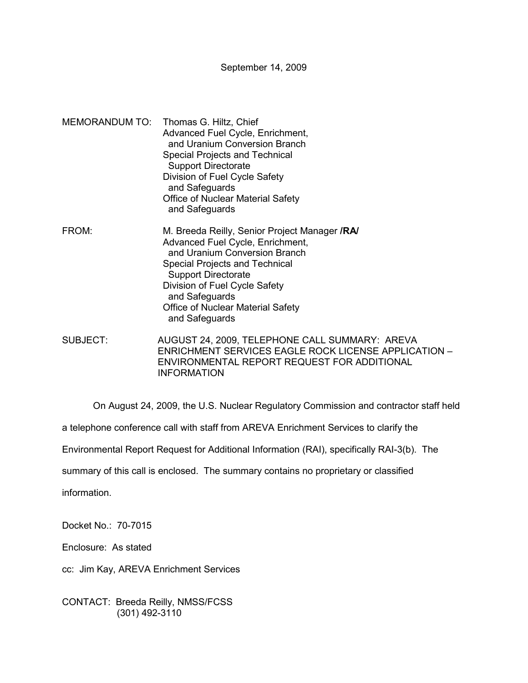September 14, 2009

- MEMORANDUM TO: Thomas G. Hiltz, Chief Advanced Fuel Cycle, Enrichment, and Uranium Conversion Branch Special Projects and Technical Support Directorate Division of Fuel Cycle Safety and Safeguards Office of Nuclear Material Safety and Safeguards FROM: M. Breeda Reilly, Senior Project Manager **/RA/**  Advanced Fuel Cycle, Enrichment,
- and Uranium Conversion Branch Special Projects and Technical Support Directorate Division of Fuel Cycle Safety and Safeguards Office of Nuclear Material Safety and Safeguards
- SUBJECT: AUGUST 24, 2009, TELEPHONE CALL SUMMARY: AREVA ENRICHMENT SERVICES EAGLE ROCK LICENSE APPLICATION – ENVIRONMENTAL REPORT REQUEST FOR ADDITIONAL INFORMATION

On August 24, 2009, the U.S. Nuclear Regulatory Commission and contractor staff held

a telephone conference call with staff from AREVA Enrichment Services to clarify the

Environmental Report Request for Additional Information (RAI), specifically RAI-3(b). The

summary of this call is enclosed. The summary contains no proprietary or classified

information.

Docket No.: 70-7015

Enclosure: As stated

cc: Jim Kay, AREVA Enrichment Services

CONTACT: Breeda Reilly, NMSS/FCSS (301) 492-3110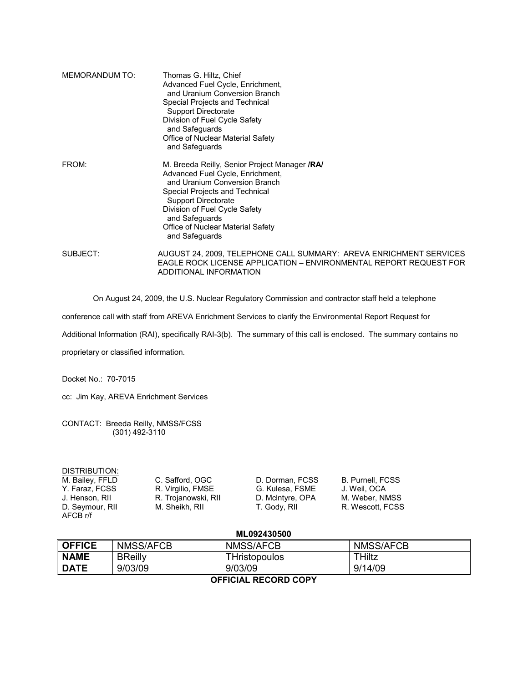| MEMORANDUM TO: | Thomas G. Hiltz, Chief<br>Advanced Fuel Cycle, Enrichment,<br>and Uranium Conversion Branch<br>Special Projects and Technical<br>Support Directorate<br>Division of Fuel Cycle Safety<br>and Safeguards<br>Office of Nuclear Material Safety<br>and Safeguards                               |
|----------------|----------------------------------------------------------------------------------------------------------------------------------------------------------------------------------------------------------------------------------------------------------------------------------------------|
| FROM:          | M. Breeda Reilly, Senior Project Manager /RA/<br>Advanced Fuel Cycle, Enrichment,<br>and Uranium Conversion Branch<br>Special Projects and Technical<br><b>Support Directorate</b><br>Division of Fuel Cycle Safety<br>and Safeguards<br>Office of Nuclear Material Safety<br>and Safeguards |
| SUBJECT:       | AUGUST 24, 2009, TELEPHONE CALL SUMMARY: AREVA ENRICHMENT SERVICES<br>EAGLE ROCK LICENSE APPLICATION – ENVIRONMENTAL REPORT REQUEST FOR<br>ADDITIONAL INFORMATION                                                                                                                            |

On August 24, 2009, the U.S. Nuclear Regulatory Commission and contractor staff held a telephone

conference call with staff from AREVA Enrichment Services to clarify the Environmental Report Request for

Additional Information (RAI), specifically RAI-3(b). The summary of this call is enclosed. The summary contains no

proprietary or classified information.

Docket No.: 70-7015

cc: Jim Kay, AREVA Enrichment Services

CONTACT: Breeda Reilly, NMSS/FCSS (301) 492-3110

| DISTRIBUTION:               |                     |                  |                  |
|-----------------------------|---------------------|------------------|------------------|
| M. Bailey, FFLD             | C. Safford, OGC     | D. Dorman. FCSS  | B. Purnell, FCSS |
| Y. Faraz. FCSS              | R. Virgilio, FMSE   | G. Kulesa, FSME  | J. Weil. OCA     |
| J. Henson. RII              | R. Trojanowski, RII | D. McIntyre, OPA | M. Weber, NMSS   |
| D. Seymour, RII<br>AFCB r/f | M. Sheikh, RII      | T. Gody, RII     | R. Wescott. FCSS |

## **ML092430500**

| <b>OFFICE</b>        | NMSS/AFCB      | NMSS/AFCB     | NMSS/AFCB |  |  |
|----------------------|----------------|---------------|-----------|--|--|
| <b>NAME</b>          | <b>BReilly</b> | THristopoulos | THiltz    |  |  |
| <b>DATE</b>          | 9/03/09        | 9/03/09       | 9/14/09   |  |  |
| AFFIAILL BEAARD AABV |                |               |           |  |  |

## **OFFICIAL RECORD COPY**